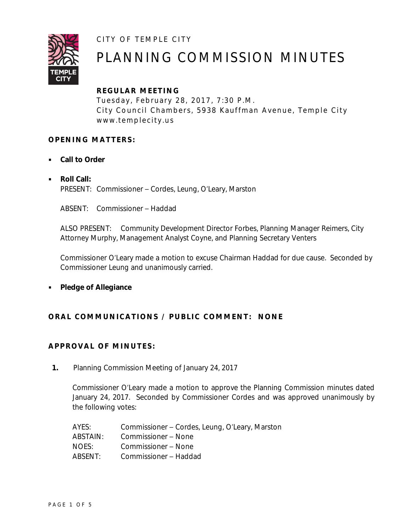CITY OF TEMPLE CITY



# PLANNING COMMISSION MINUTES

# **REGULAR ME ETING**

Tuesday, February 28, 2017, 7:30 P.M. City Council Chambers, 5938 Kauffman Avenue, Temple City www.templecity.us

## **OPENING MATTERS:**

- **Call to Order**
	- **Roll Call:** PRESENT: Commissioner – Cordes, Leung, O'Leary, Marston

ABSENT: Commissioner – Haddad

ALSO PRESENT: Community Development Director Forbes, Planning Manager Reimers, City Attorney Murphy, Management Analyst Coyne, and Planning Secretary Venters

Commissioner O'Leary made a motion to excuse Chairman Haddad for due cause. Seconded by Commissioner Leung and unanimously carried.

**Pledge of Allegiance**

## **ORAL COMMUNICATIONS / PUBL IC COMMENT: NONE**

## **APPROVAL OF MINUTES:**

**1.** Planning Commission Meeting of January 24, 2017

Commissioner O'Leary made a motion to approve the Planning Commission minutes dated January 24, 2017. Seconded by Commissioner Cordes and was approved unanimously by the following votes:

| AYES:    | Commissioner – Cordes, Leung, O'Leary, Marston |
|----------|------------------------------------------------|
| ABSTAIN: | Commissioner – None                            |
| NOES:    | Commissioner – None                            |
| ABSENT:  | Commissioner - Haddad                          |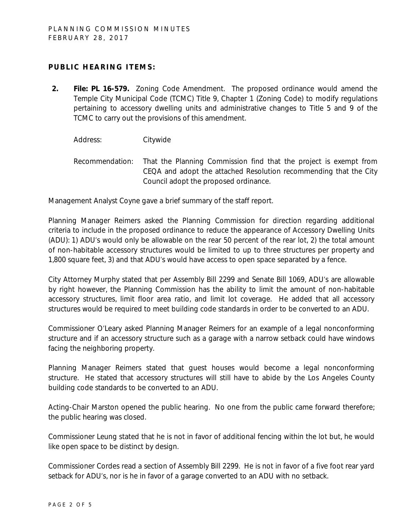## **PUBLIC HEARING ITEMS:**

**2. File: PL 16-579.** Zoning Code Amendment. The proposed ordinance would amend the Temple City Municipal Code (TCMC) Title 9, Chapter 1 (Zoning Code) to modify regulations pertaining to accessory dwelling units and administrative changes to Title 5 and 9 of the TCMC to carry out the provisions of this amendment.

Address: Citywide

Recommendation: That the Planning Commission find that the project is exempt from CEQA and adopt the attached Resolution recommending that the City Council adopt the proposed ordinance.

Management Analyst Coyne gave a brief summary of the staff report.

Planning Manager Reimers asked the Planning Commission for direction regarding additional criteria to include in the proposed ordinance to reduce the appearance of Accessory Dwelling Units (ADU): 1) ADU's would only be allowable on the rear 50 percent of the rear lot, 2) the total amount of non-habitable accessory structures would be limited to up to three structures per property and 1,800 square feet, 3) and that ADU's would have access to open space separated by a fence.

City Attorney Murphy stated that per Assembly Bill 2299 and Senate Bill 1069, ADU's are allowable by right however, the Planning Commission has the ability to limit the amount of non-habitable accessory structures, limit floor area ratio, and limit lot coverage. He added that all accessory structures would be required to meet building code standards in order to be converted to an ADU.

Commissioner O'Leary asked Planning Manager Reimers for an example of a legal nonconforming structure and if an accessory structure such as a garage with a narrow setback could have windows facing the neighboring property.

Planning Manager Reimers stated that guest houses would become a legal nonconforming structure. He stated that accessory structures will still have to abide by the Los Angeles County building code standards to be converted to an ADU.

Acting-Chair Marston opened the public hearing. No one from the public came forward therefore; the public hearing was closed.

Commissioner Leung stated that he is not in favor of additional fencing within the lot but, he would like open space to be distinct by design.

Commissioner Cordes read a section of Assembly Bill 2299. He is not in favor of a five foot rear yard setback for ADU's, nor is he in favor of a garage converted to an ADU with no setback.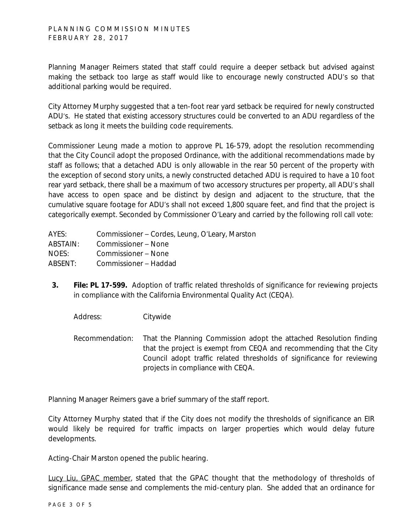Planning Manager Reimers stated that staff could require a deeper setback but advised against making the setback too large as staff would like to encourage newly constructed ADU's so that additional parking would be required.

City Attorney Murphy suggested that a ten-foot rear yard setback be required for newly constructed ADU's. He stated that existing accessory structures could be converted to an ADU regardless of the setback as long it meets the building code requirements.

Commissioner Leung made a motion to approve PL 16-579, adopt the resolution recommending that the City Council adopt the proposed Ordinance, with the additional recommendations made by staff as follows; that a detached ADU is only allowable in the rear 50 percent of the property with the exception of second story units, a newly constructed detached ADU is required to have a 10 foot rear yard setback, there shall be a maximum of two accessory structures per property, all ADU's shall have access to open space and be distinct by design and adjacent to the structure, that the cumulative square footage for ADU's shall not exceed 1,800 square feet, and find that the project is categorically exempt. Seconded by Commissioner O'Leary and carried by the following roll call vote:

| AYES:    | Commissioner – Cordes, Leung, O'Leary, Marston |
|----------|------------------------------------------------|
| ABSTAIN: | Commissioner – None                            |
| NOES:    | Commissioner - None                            |
| ABSENT:  | Commissioner – Haddad                          |

**3. File: PL 17-599.** Adoption of traffic related thresholds of significance for reviewing projects in compliance with the California Environmental Quality Act (CEQA).

Address: Citywide

Recommendation: That the Planning Commission adopt the attached Resolution finding that the project is exempt from CEQA and recommending that the City Council adopt traffic related thresholds of significance for reviewing projects in compliance with CEQA.

Planning Manager Reimers gave a brief summary of the staff report.

City Attorney Murphy stated that if the City does not modify the thresholds of significance an EIR would likely be required for traffic impacts on larger properties which would delay future developments.

Acting-Chair Marston opened the public hearing.

Lucy Liu, GPAC member, stated that the GPAC thought that the methodology of thresholds of significance made sense and complements the mid-century plan. She added that an ordinance for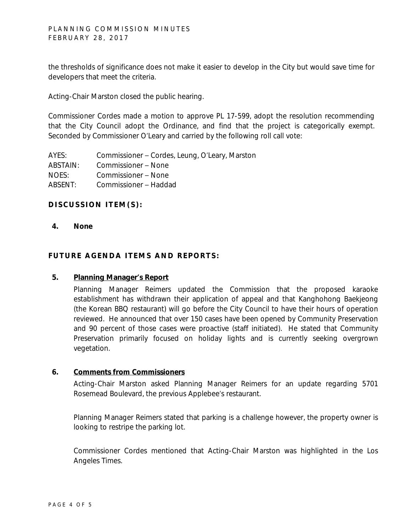the thresholds of significance does not make it easier to develop in the City but would save time for developers that meet the criteria.

Acting-Chair Marston closed the public hearing.

Commissioner Cordes made a motion to approve PL 17-599, adopt the resolution recommending that the City Council adopt the Ordinance, and find that the project is categorically exempt. Seconded by Commissioner O'Leary and carried by the following roll call vote:

AYES: Commissioner – Cordes, Leung, O'Leary, Marston ABSTAIN: Commissioner – None NOES: Commissioner – None ABSENT: Commissioner – Haddad

### **DISCUSSION ITEM(S):**

**4. None**

### **FUTURE AGENDA ITEMS AND REPORTS:**

#### **5. Planning Manager's Report**

Planning Manager Reimers updated the Commission that the proposed karaoke establishment has withdrawn their application of appeal and that Kanghohong Baekjeong (the Korean BBQ restaurant) will go before the City Council to have their hours of operation reviewed. He announced that over 150 cases have been opened by Community Preservation and 90 percent of those cases were proactive (staff initiated). He stated that Community Preservation primarily focused on holiday lights and is currently seeking overgrown vegetation.

#### **6. Comments from Commissioners**

Acting-Chair Marston asked Planning Manager Reimers for an update regarding 5701 Rosemead Boulevard, the previous Applebee's restaurant.

Planning Manager Reimers stated that parking is a challenge however, the property owner is looking to restripe the parking lot.

Commissioner Cordes mentioned that Acting-Chair Marston was highlighted in the Los Angeles Times.